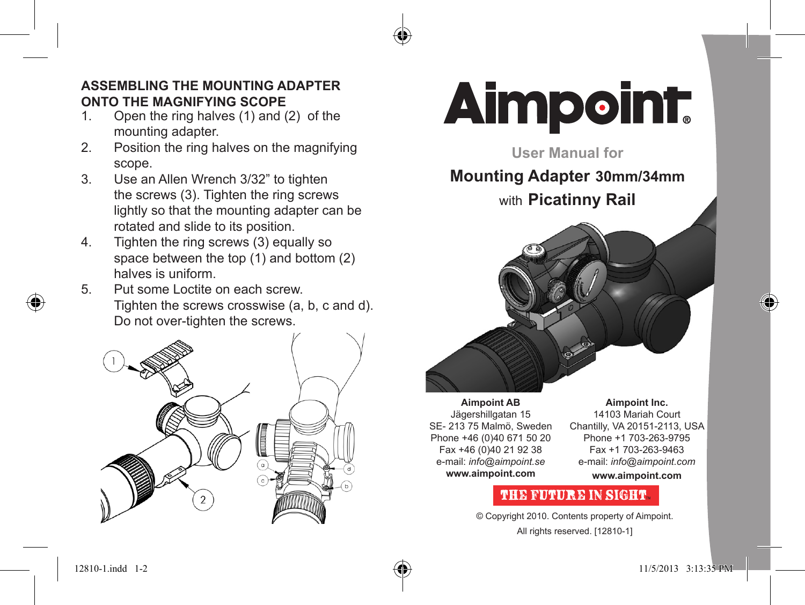# **ASSEMBLING THE MOUNTING ADAPTER ONTO THE MAGNIFYING SCOPE**<br>1 Open the ring halves (1) and (

- Open the ring halves  $(1)$  and  $(2)$  of the mounting adapter.
- 2. Position the ring halves on the magnifying scope.
- 3. Use an Allen Wrench 3/32" to tighten the screws (3). Tighten the ring screws lightly so that the mounting adapter can be rotated and slide to its position.
- 4. Tighten the ring screws (3) equally so space between the top (1) and bottom (2) halves is uniform.
- 5. Put some Loctite on each screw. Tighten the screws crosswise (a, b, c and d). Do not over-tighten the screws.





**User Manual for** 

# **Mounting Adapter 30mm/34mm**

with **Picatinny Rail**



**Aimpoint AB** Jägershillgatan 15 SE- 213 75 Malmö, Sweden Phone +46 (0)40 671 50 20 Fax +46 (0)40 21 92 38 e-mail: *info@aimpoint.se* **www.aimpoint.com**

**Aimpoint Inc.** 14103 Mariah Court Chantilly, VA 20151-2113, USA Phone +1 703-263-9795 Fax +1 703-263-9463 e-mail: *info@aimpoint.com* **www.aimpoint.com**

### **THE FUTURE IN SIGHT**

© Copyright 2010. Contents property of Aimpoint. All rights reserved. [12810-1]